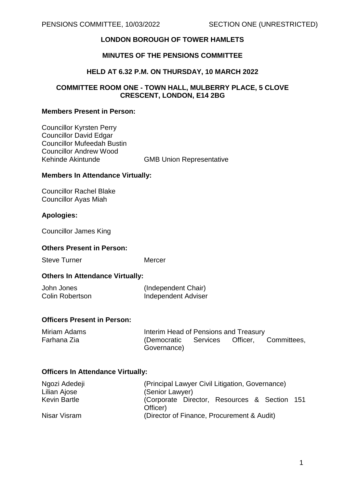# **LONDON BOROUGH OF TOWER HAMLETS**

# **MINUTES OF THE PENSIONS COMMITTEE**

### **HELD AT 6.32 P.M. ON THURSDAY, 10 MARCH 2022**

## **COMMITTEE ROOM ONE - TOWN HALL, MULBERRY PLACE, 5 CLOVE CRESCENT, LONDON, E14 2BG**

### **Members Present in Person:**

Councillor Kyrsten Perry Councillor David Edgar Councillor Mufeedah Bustin Councillor Andrew Wood Kehinde Akintunde GMB Union Representative

### **Members In Attendance Virtually:**

Councillor Rachel Blake Councillor Ayas Miah

### **Apologies:**

Councillor James King

### **Others Present in Person:**

Steve Turner Mercer

### **Others In Attendance Virtually:**

| John Jones             | (Independent Chair) |
|------------------------|---------------------|
| <b>Colin Robertson</b> | Independent Adviser |

## **Officers Present in Person:**

|             | Interim Head of Pensions and Treasury |  |                                           |
|-------------|---------------------------------------|--|-------------------------------------------|
| Governance) |                                       |  |                                           |
|             |                                       |  | (Democratic Services Officer, Committees, |

### **Officers In Attendance Virtually:**

| Ngozi Adedeji | (Principal Lawyer Civil Litigation, Governance)          |  |  |
|---------------|----------------------------------------------------------|--|--|
| Lilian Ajose  | (Senior Lawyer)                                          |  |  |
| Kevin Bartle  | (Corporate Director, Resources & Section 151<br>Officer) |  |  |
| Nisar Visram  | (Director of Finance, Procurement & Audit)               |  |  |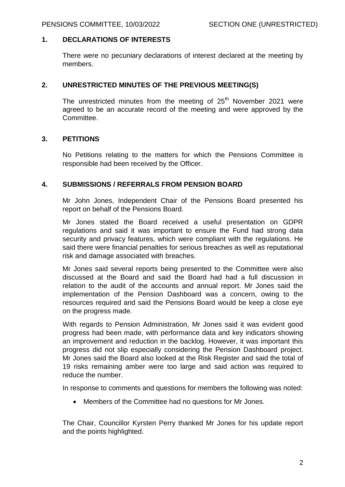### **1. DECLARATIONS OF INTERESTS**

There were no pecuniary declarations of interest declared at the meeting by members.

## **2. UNRESTRICTED MINUTES OF THE PREVIOUS MEETING(S)**

The unrestricted minutes from the meeting of  $25<sup>th</sup>$  November 2021 were agreed to be an accurate record of the meeting and were approved by the Committee.

### **3. PETITIONS**

No Petitions relating to the matters for which the Pensions Committee is responsible had been received by the Officer.

### **4. SUBMISSIONS / REFERRALS FROM PENSION BOARD**

Mr John Jones, Independent Chair of the Pensions Board presented his report on behalf of the Pensions Board.

Mr Jones stated the Board received a useful presentation on GDPR regulations and said it was important to ensure the Fund had strong data security and privacy features, which were compliant with the regulations. He said there were financial penalties for serious breaches as well as reputational risk and damage associated with breaches.

Mr Jones said several reports being presented to the Committee were also discussed at the Board and said the Board had had a full discussion in relation to the audit of the accounts and annual report. Mr Jones said the implementation of the Pension Dashboard was a concern, owing to the resources required and said the Pensions Board would be keep a close eye on the progress made.

With regards to Pension Administration, Mr Jones said it was evident good progress had been made, with performance data and key indicators showing an improvement and reduction in the backlog. However, it was important this progress did not slip especially considering the Pension Dashboard project. Mr Jones said the Board also looked at the Risk Register and said the total of 19 risks remaining amber were too large and said action was required to reduce the number.

In response to comments and questions for members the following was noted:

Members of the Committee had no questions for Mr Jones.

The Chair, Councillor Kyrsten Perry thanked Mr Jones for his update report and the points highlighted.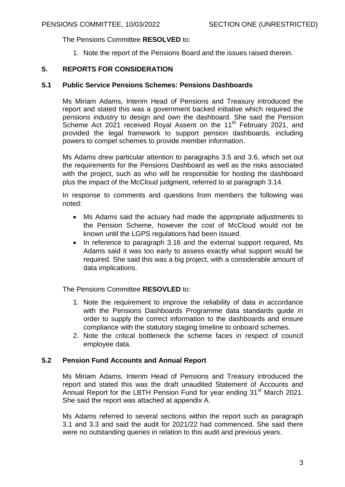The Pensions Committee **RESOLVED** to:

1. Note the report of the Pensions Board and the issues raised therein.

# **5. REPORTS FOR CONSIDERATION**

## **5.1 Public Service Pensions Schemes: Pensions Dashboards**

Ms Miriam Adams, Interim Head of Pensions and Treasury introduced the report and stated this was a government backed initiative which required the pensions industry to design and own the dashboard. She said the Pension Scheme Act 2021 received Royal Assent on the 11<sup>th</sup> February 2021, and provided the legal framework to support pension dashboards, including powers to compel schemes to provide member information.

Ms Adams drew particular attention to paragraphs 3.5 and 3.6, which set out the requirements for the Pensions Dashboard as well as the risks associated with the project, such as who will be responsible for hosting the dashboard plus the impact of the McCloud judgment, referred to at paragraph 3.14.

In response to comments and questions from members the following was noted:

- Ms Adams said the actuary had made the appropriate adjustments to the Pension Scheme, however the cost of McCloud would not be known until the LGPS regulations had been issued.
- In reference to paragraph 3.16 and the external support required, Ms Adams said it was too early to assess exactly what support would be required. She said this was a big project, with a considerable amount of data implications.

The Pensions Committee **RESOVLED** to:

- 1. Note the requirement to improve the reliability of data in accordance with the Pensions Dashboards Programme data standards guide in order to supply the correct information to the dashboards and ensure compliance with the statutory staging timeline to onboard schemes.
- 2. Note the critical bottleneck the scheme faces in respect of council employee data.

# **5.2 Pension Fund Accounts and Annual Report**

Ms Miriam Adams, Interim Head of Pensions and Treasury introduced the report and stated this was the draft unaudited Statement of Accounts and Annual Report for the LBTH Pension Fund for year ending 31<sup>st</sup> March 2021. She said the report was attached at appendix A.

Ms Adams referred to several sections within the report such as paragraph 3.1 and 3.3 and said the audit for 2021/22 had commenced. She said there were no outstanding queries in relation to this audit and previous years.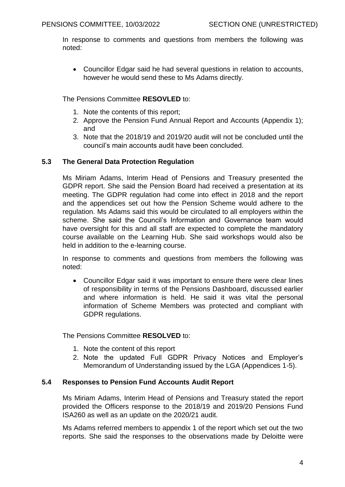In response to comments and questions from members the following was noted:

 Councillor Edgar said he had several questions in relation to accounts, however he would send these to Ms Adams directly.

The Pensions Committee **RESOVLED** to:

- 1. Note the contents of this report;
- 2. Approve the Pension Fund Annual Report and Accounts (Appendix 1); and
- 3. Note that the 2018/19 and 2019/20 audit will not be concluded until the council's main accounts audit have been concluded.

# **5.3 The General Data Protection Regulation**

Ms Miriam Adams, Interim Head of Pensions and Treasury presented the GDPR report. She said the Pension Board had received a presentation at its meeting. The GDPR regulation had come into effect in 2018 and the report and the appendices set out how the Pension Scheme would adhere to the regulation. Ms Adams said this would be circulated to all employers within the scheme. She said the Council's Information and Governance team would have oversight for this and all staff are expected to complete the mandatory course available on the Learning Hub. She said workshops would also be held in addition to the e-learning course.

In response to comments and questions from members the following was noted:

 Councillor Edgar said it was important to ensure there were clear lines of responsibility in terms of the Pensions Dashboard, discussed earlier and where information is held. He said it was vital the personal information of Scheme Members was protected and compliant with GDPR regulations.

The Pensions Committee **RESOLVED** to:

- 1. Note the content of this report
- 2. Note the updated Full GDPR Privacy Notices and Employer's Memorandum of Understanding issued by the LGA (Appendices 1-5).

# **5.4 Responses to Pension Fund Accounts Audit Report**

Ms Miriam Adams, Interim Head of Pensions and Treasury stated the report provided the Officers response to the 2018/19 and 2019/20 Pensions Fund ISA260 as well as an update on the 2020/21 audit.

Ms Adams referred members to appendix 1 of the report which set out the two reports. She said the responses to the observations made by Deloitte were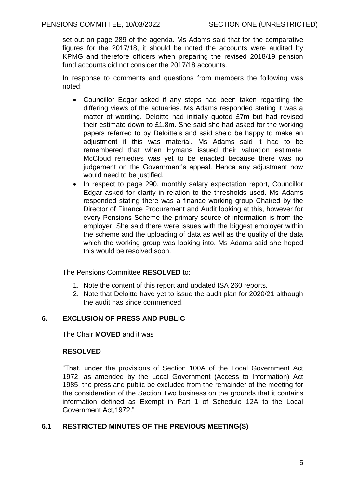set out on page 289 of the agenda. Ms Adams said that for the comparative figures for the 2017/18, it should be noted the accounts were audited by KPMG and therefore officers when preparing the revised 2018/19 pension fund accounts did not consider the 2017/18 accounts.

In response to comments and questions from members the following was noted:

- Councillor Edgar asked if any steps had been taken regarding the differing views of the actuaries. Ms Adams responded stating it was a matter of wording. Deloitte had initially quoted £7m but had revised their estimate down to £1.8m. She said she had asked for the working papers referred to by Deloitte's and said she'd be happy to make an adjustment if this was material. Ms Adams said it had to be remembered that when Hymans issued their valuation estimate, McCloud remedies was yet to be enacted because there was no judgement on the Government's appeal. Hence any adjustment now would need to be justified.
- In respect to page 290, monthly salary expectation report, Councillor Edgar asked for clarity in relation to the thresholds used. Ms Adams responded stating there was a finance working group Chaired by the Director of Finance Procurement and Audit looking at this, however for every Pensions Scheme the primary source of information is from the employer. She said there were issues with the biggest employer within the scheme and the uploading of data as well as the quality of the data which the working group was looking into. Ms Adams said she hoped this would be resolved soon.

The Pensions Committee **RESOLVED** to:

- 1. Note the content of this report and updated ISA 260 reports.
- 2. Note that Deloitte have yet to issue the audit plan for 2020/21 although the audit has since commenced.

# **6. EXCLUSION OF PRESS AND PUBLIC**

The Chair **MOVED** and it was

# **RESOLVED**

"That, under the provisions of Section 100A of the Local Government Act 1972, as amended by the Local Government (Access to Information) Act 1985, the press and public be excluded from the remainder of the meeting for the consideration of the Section Two business on the grounds that it contains information defined as Exempt in Part 1 of Schedule 12A to the Local Government Act,1972."

# **6.1 RESTRICTED MINUTES OF THE PREVIOUS MEETING(S)**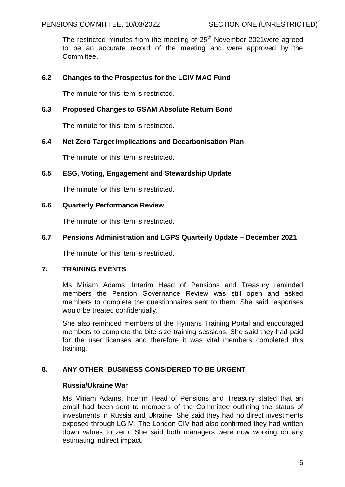The restricted minutes from the meeting of  $25<sup>th</sup>$  November 2021 were agreed to be an accurate record of the meeting and were approved by the Committee.

# **6.2 Changes to the Prospectus for the LCIV MAC Fund**

The minute for this item is restricted.

# **6.3 Proposed Changes to GSAM Absolute Return Bond**

The minute for this item is restricted.

### **6.4 Net Zero Target implications and Decarbonisation Plan**

The minute for this item is restricted.

### **6.5 ESG, Voting, Engagement and Stewardship Update**

The minute for this item is restricted.

### **6.6 Quarterly Performance Review**

The minute for this item is restricted.

### **6.7 Pensions Administration and LGPS Quarterly Update – December 2021**

The minute for this item is restricted.

# **7. TRAINING EVENTS**

Ms Miriam Adams, Interim Head of Pensions and Treasury reminded members the Pension Governance Review was still open and asked members to complete the questionnaires sent to them. She said responses would be treated confidentially.

She also reminded members of the Hymans Training Portal and encouraged members to complete the bite-size training sessions. She said they had paid for the user licenses and therefore it was vital members completed this training.

# **8. ANY OTHER BUSINESS CONSIDERED TO BE URGENT**

### **Russia/Ukraine War**

Ms Miriam Adams, Interim Head of Pensions and Treasury stated that an email had been sent to members of the Committee outlining the status of investments in Russia and Ukraine. She said they had no direct investments exposed through LGIM. The London CIV had also confirmed they had written down values to zero. She said both managers were now working on any estimating indirect impact.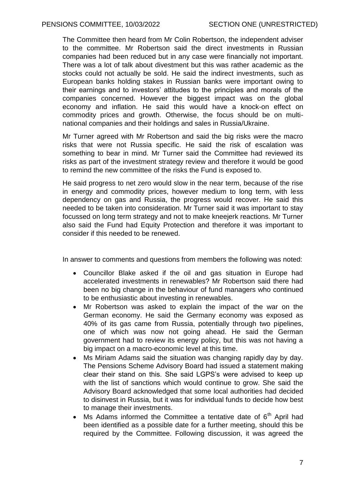The Committee then heard from Mr Colin Robertson, the independent adviser to the committee. Mr Robertson said the direct investments in Russian companies had been reduced but in any case were financially not important. There was a lot of talk about divestment but this was rather academic as the stocks could not actually be sold. He said the indirect investments, such as European banks holding stakes in Russian banks were important owing to their earnings and to investors' attitudes to the principles and morals of the companies concerned. However the biggest impact was on the global economy and inflation. He said this would have a knock-on effect on commodity prices and growth. Otherwise, the focus should be on multinational companies and their holdings and sales in Russia/Ukraine.

Mr Turner agreed with Mr Robertson and said the big risks were the macro risks that were not Russia specific. He said the risk of escalation was something to bear in mind. Mr Turner said the Committee had reviewed its risks as part of the investment strategy review and therefore it would be good to remind the new committee of the risks the Fund is exposed to.

He said progress to net zero would slow in the near term, because of the rise in energy and commodity prices, however medium to long term, with less dependency on gas and Russia, the progress would recover. He said this needed to be taken into consideration. Mr Turner said it was important to stay focussed on long term strategy and not to make kneejerk reactions. Mr Turner also said the Fund had Equity Protection and therefore it was important to consider if this needed to be renewed.

In answer to comments and questions from members the following was noted:

- Councillor Blake asked if the oil and gas situation in Europe had accelerated investments in renewables? Mr Robertson said there had been no big change in the behaviour of fund managers who continued to be enthusiastic about investing in renewables.
- Mr Robertson was asked to explain the impact of the war on the German economy. He said the Germany economy was exposed as 40% of its gas came from Russia, potentially through two pipelines, one of which was now not going ahead. He said the German government had to review its energy policy, but this was not having a big impact on a macro-economic level at this time.
- Ms Miriam Adams said the situation was changing rapidly day by day. The Pensions Scheme Advisory Board had issued a statement making clear their stand on this. She said LGPS's were advised to keep up with the list of sanctions which would continue to grow. She said the Advisory Board acknowledged that some local authorities had decided to disinvest in Russia, but it was for individual funds to decide how best to manage their investments.
- Ms Adams informed the Committee a tentative date of  $6<sup>th</sup>$  April had been identified as a possible date for a further meeting, should this be required by the Committee. Following discussion, it was agreed the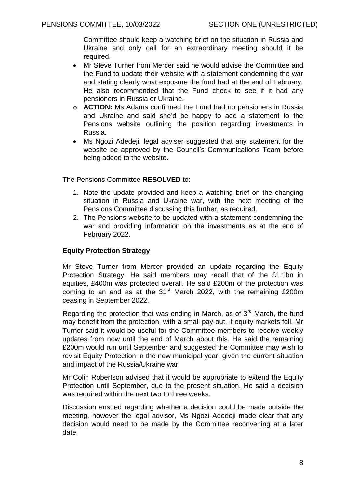Committee should keep a watching brief on the situation in Russia and Ukraine and only call for an extraordinary meeting should it be required.

- Mr Steve Turner from Mercer said he would advise the Committee and the Fund to update their website with a statement condemning the war and stating clearly what exposure the fund had at the end of February. He also recommended that the Fund check to see if it had any pensioners in Russia or Ukraine.
- o **ACTION:** Ms Adams confirmed the Fund had no pensioners in Russia and Ukraine and said she'd be happy to add a statement to the Pensions website outlining the position regarding investments in Russia.
- Ms Ngozi Adedeji, legal adviser suggested that any statement for the website be approved by the Council's Communications Team before being added to the website.

The Pensions Committee **RESOLVED** to:

- 1. Note the update provided and keep a watching brief on the changing situation in Russia and Ukraine war, with the next meeting of the Pensions Committee discussing this further, as required.
- 2. The Pensions website to be updated with a statement condemning the war and providing information on the investments as at the end of February 2022.

# **Equity Protection Strategy**

Mr Steve Turner from Mercer provided an update regarding the Equity Protection Strategy. He said members may recall that of the £1.1bn in equities, £400m was protected overall. He said £200m of the protection was coming to an end as at the  $31<sup>st</sup>$  March 2022, with the remaining £200m ceasing in September 2022.

Regarding the protection that was ending in March, as of 3<sup>rd</sup> March, the fund may benefit from the protection, with a small pay-out, if equity markets fell. Mr Turner said it would be useful for the Committee members to receive weekly updates from now until the end of March about this. He said the remaining £200m would run until September and suggested the Committee may wish to revisit Equity Protection in the new municipal year, given the current situation and impact of the Russia/Ukraine war.

Mr Colin Robertson advised that it would be appropriate to extend the Equity Protection until September, due to the present situation. He said a decision was required within the next two to three weeks.

Discussion ensued regarding whether a decision could be made outside the meeting, however the legal advisor, Ms Ngozi Adedeji made clear that any decision would need to be made by the Committee reconvening at a later date.